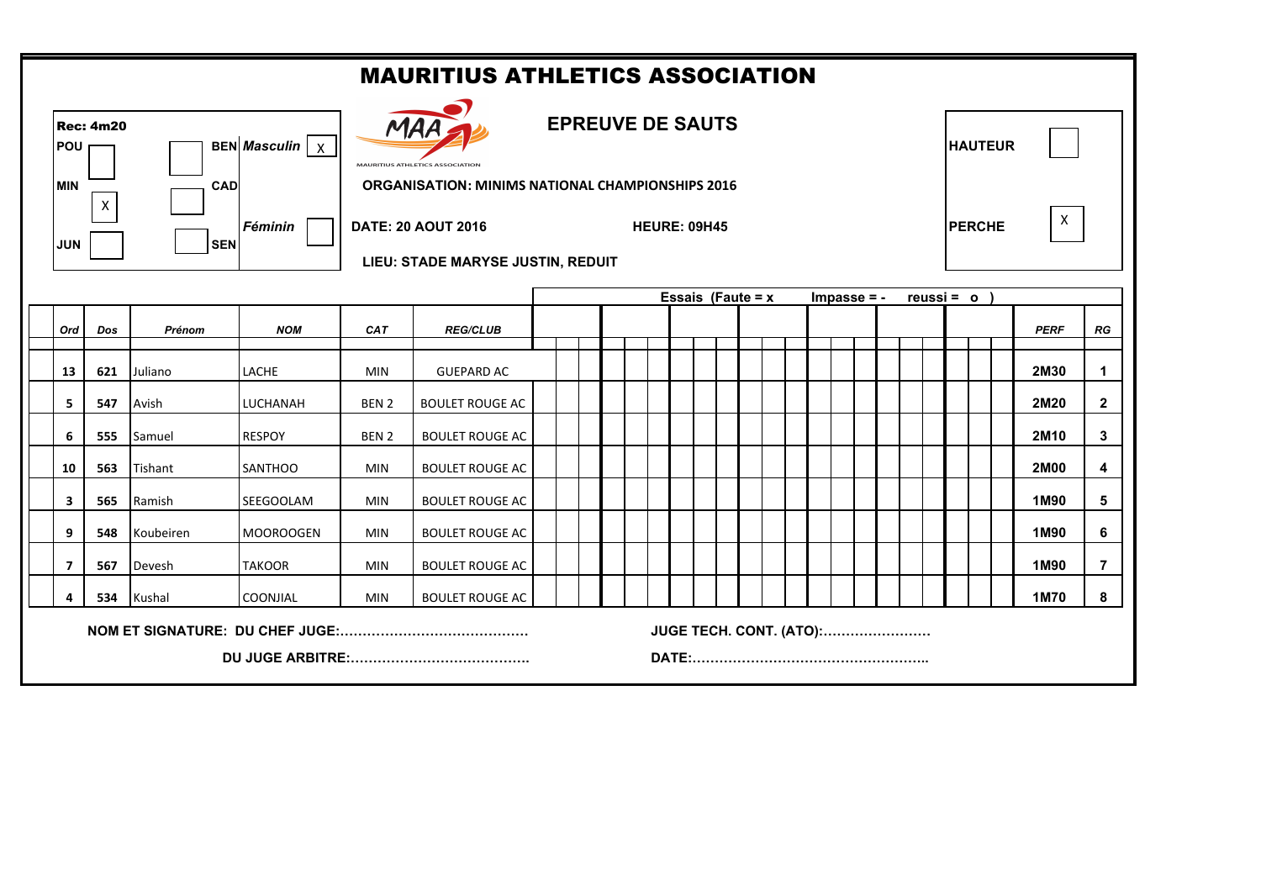| <b>MAURITIUS ATHLETICS ASSOCIATION</b>                                           |            |     |            |                                                                                                                       |                  |                                                                                       |  |  |  |                     |  |  |                                |                |               |   |                  |                |
|----------------------------------------------------------------------------------|------------|-----|------------|-----------------------------------------------------------------------------------------------------------------------|------------------|---------------------------------------------------------------------------------------|--|--|--|---------------------|--|--|--------------------------------|----------------|---------------|---|------------------|----------------|
| <b>Rec: 4m20</b><br>BEN Masculin   X  <br><b>POU</b><br><b>MIN</b><br><b>CAD</b> |            |     |            | <b>EPREUVE DE SAUTS</b><br><b>MAURITIUS ATHLETICS ASSO</b><br><b>ORGANISATION: MINIMS NATIONAL CHAMPIONSHIPS 2016</b> |                  |                                                                                       |  |  |  |                     |  |  |                                | <b>HAUTEUR</b> |               |   |                  |                |
|                                                                                  | <b>JUN</b> | X   | <b>SEN</b> | <b>Féminin</b>                                                                                                        |                  | <b>DATE: 20 AOUT 2016</b><br><b>HEURE: 09H45</b><br>LIEU: STADE MARYSE JUSTIN, REDUIT |  |  |  |                     |  |  |                                |                | <b>PERCHE</b> | X |                  |                |
|                                                                                  |            |     |            |                                                                                                                       |                  |                                                                                       |  |  |  | Essais (Faute = $x$ |  |  | $Impasse = -$                  |                | $reussi = o$  |   |                  |                |
|                                                                                  | Ord        | Dos | Prénom     | <b>NOM</b>                                                                                                            | <b>CAT</b>       | <b>REG/CLUB</b>                                                                       |  |  |  |                     |  |  |                                |                |               |   | <b>PERF</b>      | RG             |
|                                                                                  | 13         | 621 | Juliano    | LACHE                                                                                                                 | <b>MIN</b>       | <b>GUEPARD AC</b>                                                                     |  |  |  |                     |  |  |                                |                |               |   | 2M30             | $\mathbf 1$    |
|                                                                                  | 5          | 547 | Avish      | LUCHANAH                                                                                                              | BEN <sub>2</sub> | <b>BOULET ROUGE AC</b>                                                                |  |  |  |                     |  |  |                                |                |               |   | 2M20             | $\mathbf{2}$   |
|                                                                                  | 6          | 555 | Samuel     | <b>RESPOY</b>                                                                                                         | BEN <sub>2</sub> | <b>BOULET ROUGE AC</b>                                                                |  |  |  |                     |  |  |                                |                |               |   | 2M <sub>10</sub> | 3              |
|                                                                                  | 10         | 563 | Tishant    | <b>SANTHOO</b>                                                                                                        | <b>MIN</b>       | <b>BOULET ROUGE AC</b>                                                                |  |  |  |                     |  |  |                                |                |               |   | <b>2M00</b>      | 4              |
|                                                                                  | 3          | 565 | Ramish     | SEEGOOLAM                                                                                                             | <b>MIN</b>       | <b>BOULET ROUGE AC</b>                                                                |  |  |  |                     |  |  |                                |                |               |   | 1M90             | 5              |
|                                                                                  | 9          | 548 | Koubeiren  | <b>MOOROOGEN</b>                                                                                                      | <b>MIN</b>       | <b>BOULET ROUGE AC</b>                                                                |  |  |  |                     |  |  |                                |                |               |   | 1M90             | 6              |
|                                                                                  | 7          | 567 | Devesh     | <b>TAKOOR</b>                                                                                                         | <b>MIN</b>       | <b>BOULET ROUGE AC</b>                                                                |  |  |  |                     |  |  |                                |                |               |   | 1M90             | $\overline{7}$ |
|                                                                                  |            | 534 | Kushal     | <b>COONJIAL</b>                                                                                                       | <b>MIN</b>       | <b>BOULET ROUGE AC</b>                                                                |  |  |  |                     |  |  |                                |                |               |   | 1M70             | 8              |
|                                                                                  |            |     |            |                                                                                                                       |                  |                                                                                       |  |  |  |                     |  |  | <b>JUGE TECH. CONT. (ATO):</b> |                |               |   |                  |                |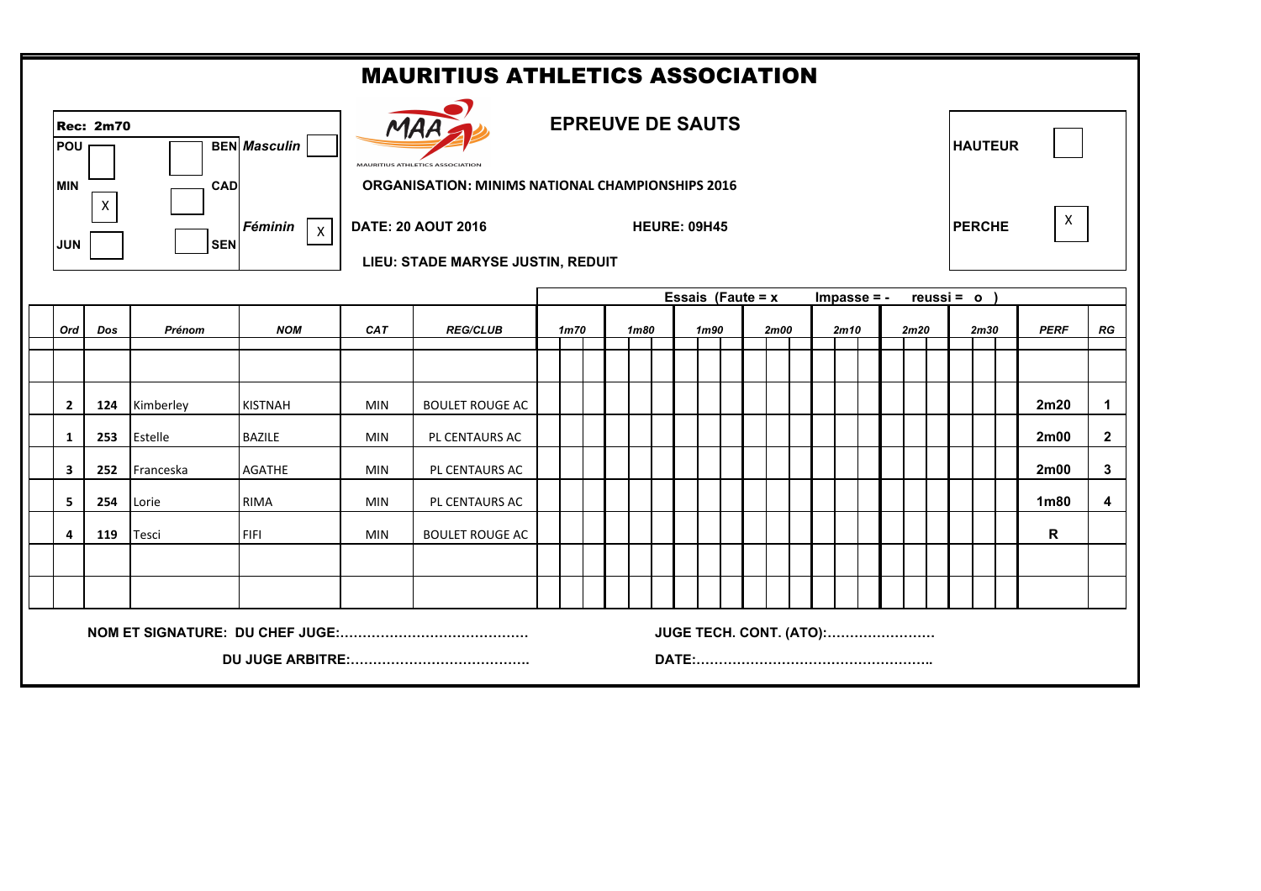|                           | <b>MAURITIUS ATHLETICS ASSOCIATION</b>               |                          |                         |                                                             |                                                                                                                                                  |                   |      |      |                         |      |                |      |  |                  |                |
|---------------------------|------------------------------------------------------|--------------------------|-------------------------|-------------------------------------------------------------|--------------------------------------------------------------------------------------------------------------------------------------------------|-------------------|------|------|-------------------------|------|----------------|------|--|------------------|----------------|
| <b>POU</b>                | <b>Rec: 2m70</b>                                     |                          | <b>BEN</b> Masculin     | <b>EPREUVE DE SAUTS</b><br><b>MAURITIUS ATHLETICS ASSOC</b> |                                                                                                                                                  |                   |      |      |                         |      | <b>HAUTEUR</b> |      |  |                  |                |
| <b>IMIN</b><br><b>JUN</b> | $\mathsf{X}$                                         | <b>CAD</b><br><b>SEN</b> | Féminin<br>$\mathsf{X}$ |                                                             | <b>ORGANISATION: MINIMS NATIONAL CHAMPIONSHIPS 2016</b><br><b>DATE: 20 AOUT 2016</b><br><b>HEURE: 09H45</b><br>LIEU: STADE MARYSE JUSTIN, REDUIT |                   |      |      |                         |      |                |      |  |                  |                |
|                           | Essais (Faute = $x$<br>$Impasse = -$<br>$reussi = o$ |                          |                         |                                                             |                                                                                                                                                  |                   |      |      |                         |      |                |      |  |                  |                |
| Ord                       | Dos                                                  | Prénom                   | <b>NOM</b>              | <b>CAT</b>                                                  | <b>REG/CLUB</b>                                                                                                                                  | 1 <sub>m</sub> 70 | 1m80 | 1m90 | <b>2m00</b>             | 2m10 | 2m20           | 2m30 |  | <b>PERF</b>      | RG             |
|                           |                                                      |                          |                         |                                                             |                                                                                                                                                  |                   |      |      |                         |      |                |      |  |                  |                |
| $\overline{2}$            | 124                                                  | Kimberley                | <b>KISTNAH</b>          | <b>MIN</b>                                                  | <b>BOULET ROUGE AC</b>                                                                                                                           |                   |      |      |                         |      |                |      |  | 2m20             | $\mathbf{1}$   |
| $\mathbf{1}$              | 253                                                  | Estelle                  | <b>BAZILE</b>           | <b>MIN</b>                                                  | PL CENTAURS AC                                                                                                                                   |                   |      |      |                         |      |                |      |  | 2m00             | $\overline{2}$ |
| 3                         | 252                                                  | Franceska                | <b>AGATHE</b>           | <b>MIN</b>                                                  | PL CENTAURS AC                                                                                                                                   |                   |      |      |                         |      |                |      |  | 2m00             | 3 <sup>1</sup> |
| 5                         | 254                                                  | Lorie                    | <b>RIMA</b>             | <b>MIN</b>                                                  | PL CENTAURS AC                                                                                                                                   |                   |      |      |                         |      |                |      |  | 1 <sub>m80</sub> | $\overline{4}$ |
| 4                         | 119                                                  | Tesci                    | <b>FIFI</b>             | <b>MIN</b>                                                  | <b>BOULET ROUGE AC</b>                                                                                                                           |                   |      |      |                         |      |                |      |  | R                |                |
|                           |                                                      |                          |                         |                                                             |                                                                                                                                                  |                   |      |      |                         |      |                |      |  |                  |                |
|                           |                                                      |                          |                         |                                                             |                                                                                                                                                  |                   |      |      |                         |      |                |      |  |                  |                |
|                           |                                                      |                          |                         |                                                             |                                                                                                                                                  |                   |      |      | JUGE TECH. CONT. (ATO): |      |                |      |  |                  |                |
|                           |                                                      |                          |                         |                                                             |                                                                                                                                                  |                   |      |      |                         |      |                |      |  |                  |                |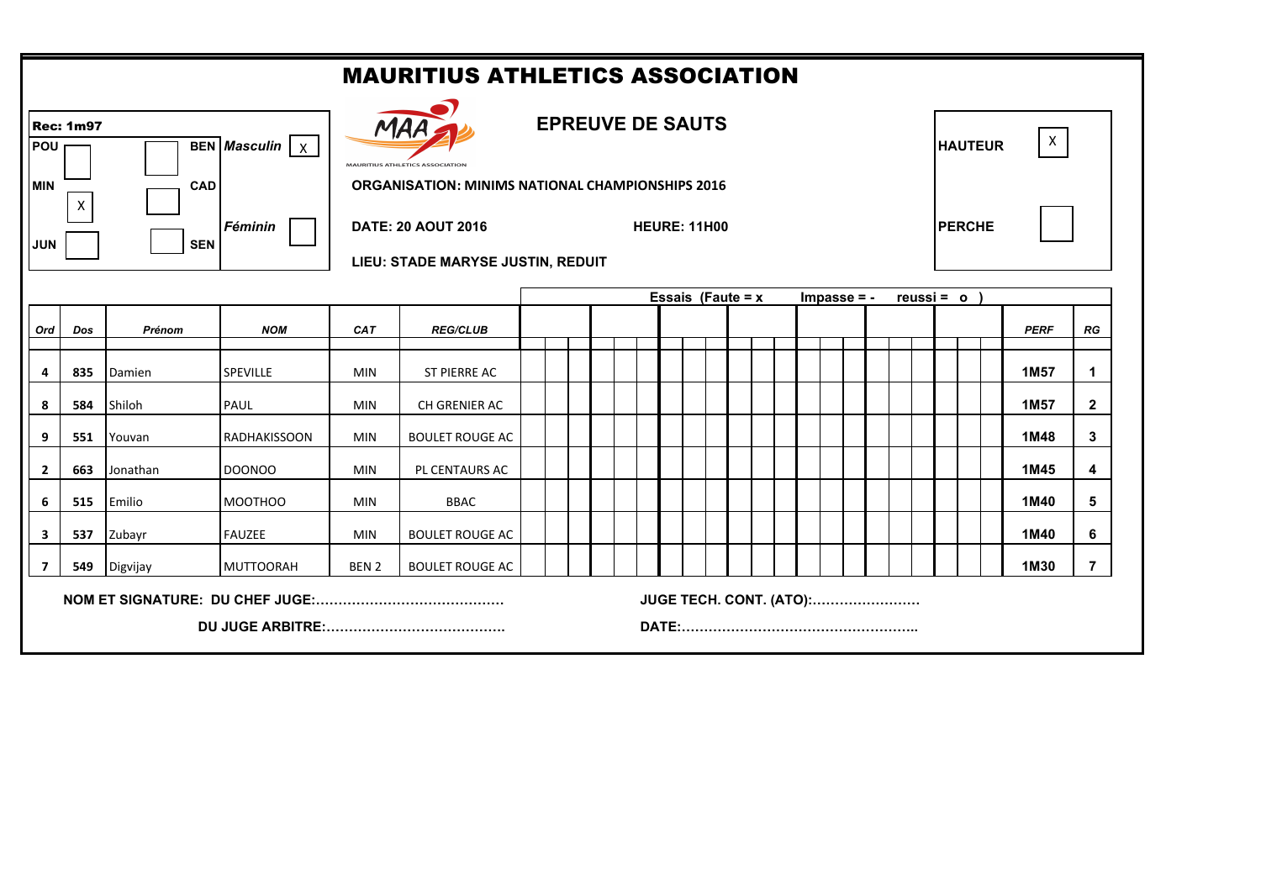|                          | <b>MAURITIUS ATHLETICS ASSOCIATION</b> |                          |                              |                                                                   |                                                                |                                                                                |  |  |                     |  |  |  |                         |                                |  |               |  |                  |                |
|--------------------------|----------------------------------------|--------------------------|------------------------------|-------------------------------------------------------------------|----------------------------------------------------------------|--------------------------------------------------------------------------------|--|--|---------------------|--|--|--|-------------------------|--------------------------------|--|---------------|--|------------------|----------------|
| POU                      | <b>Rec: 1m97</b>                       |                          | BEN Masculin $\vert x \vert$ | <b>EPREUVE DE SAUTS</b><br><b>MAURITIUS ATHLETICS ASSOCIATION</b> |                                                                |                                                                                |  |  |                     |  |  |  |                         | $\mathsf{X}$<br><b>HAUTEUR</b> |  |               |  |                  |                |
| <b>MIN</b><br><b>JUN</b> | $\mathsf{X}$                           | <b>CAD</b><br><b>SEN</b> | Féminin                      |                                                                   | <b>DATE: 20 AOUT 2016</b><br>LIEU: STADE MARYSE JUSTIN, REDUIT | <b>ORGANISATION: MINIMS NATIONAL CHAMPIONSHIPS 2016</b><br><b>HEURE: 11H00</b> |  |  |                     |  |  |  |                         |                                |  | <b>PERCHE</b> |  |                  |                |
|                          |                                        |                          |                              |                                                                   |                                                                |                                                                                |  |  | Essais (Faute = $x$ |  |  |  | $Impasse = -$           |                                |  | $reussi = o$  |  |                  |                |
| Ord                      | Dos                                    | Prénom                   | <b>NOM</b>                   | <b>CAT</b>                                                        | <b>REG/CLUB</b>                                                |                                                                                |  |  |                     |  |  |  |                         |                                |  |               |  | <b>PERF</b>      | RG             |
| 4                        | 835                                    | Damien                   | <b>SPEVILLE</b>              | <b>MIN</b>                                                        | ST PIERRE AC                                                   |                                                                                |  |  |                     |  |  |  |                         |                                |  |               |  | 1M57             | $\mathbf 1$    |
| 8                        | 584                                    | Shiloh                   | PAUL                         | <b>MIN</b>                                                        | CH GRENIER AC                                                  |                                                                                |  |  |                     |  |  |  |                         |                                |  |               |  | 1M <sub>57</sub> | $\mathbf{2}$   |
| 9                        | 551                                    | Youvan                   | <b>RADHAKISSOON</b>          | <b>MIN</b>                                                        | <b>BOULET ROUGE AC</b>                                         |                                                                                |  |  |                     |  |  |  |                         |                                |  |               |  | 1M48             | 3              |
| $\mathbf{2}$             | 663                                    | Jonathan                 | <b>DOONOO</b>                | <b>MIN</b>                                                        | PL CENTAURS AC                                                 |                                                                                |  |  |                     |  |  |  |                         |                                |  |               |  | 1M45             | 4              |
| 6                        | 515                                    | Emilio                   | MOOTHOO                      | <b>MIN</b>                                                        | <b>BBAC</b>                                                    |                                                                                |  |  |                     |  |  |  |                         |                                |  |               |  | 1M40             | 5              |
| $\overline{\mathbf{3}}$  | 537                                    | Zubayr                   | <b>FAUZEE</b>                | <b>MIN</b>                                                        | <b>BOULET ROUGE AC</b>                                         |                                                                                |  |  |                     |  |  |  |                         |                                |  |               |  | 1M40             | 6              |
| $\overline{7}$           | 549                                    | Digvijay                 | <b>MUTTOORAH</b>             | BEN <sub>2</sub>                                                  | <b>BOULET ROUGE AC</b>                                         |                                                                                |  |  |                     |  |  |  |                         |                                |  |               |  | 1M30             | $\overline{7}$ |
|                          |                                        |                          |                              |                                                                   |                                                                |                                                                                |  |  |                     |  |  |  | JUGE TECH. CONT. (ATO): |                                |  |               |  |                  |                |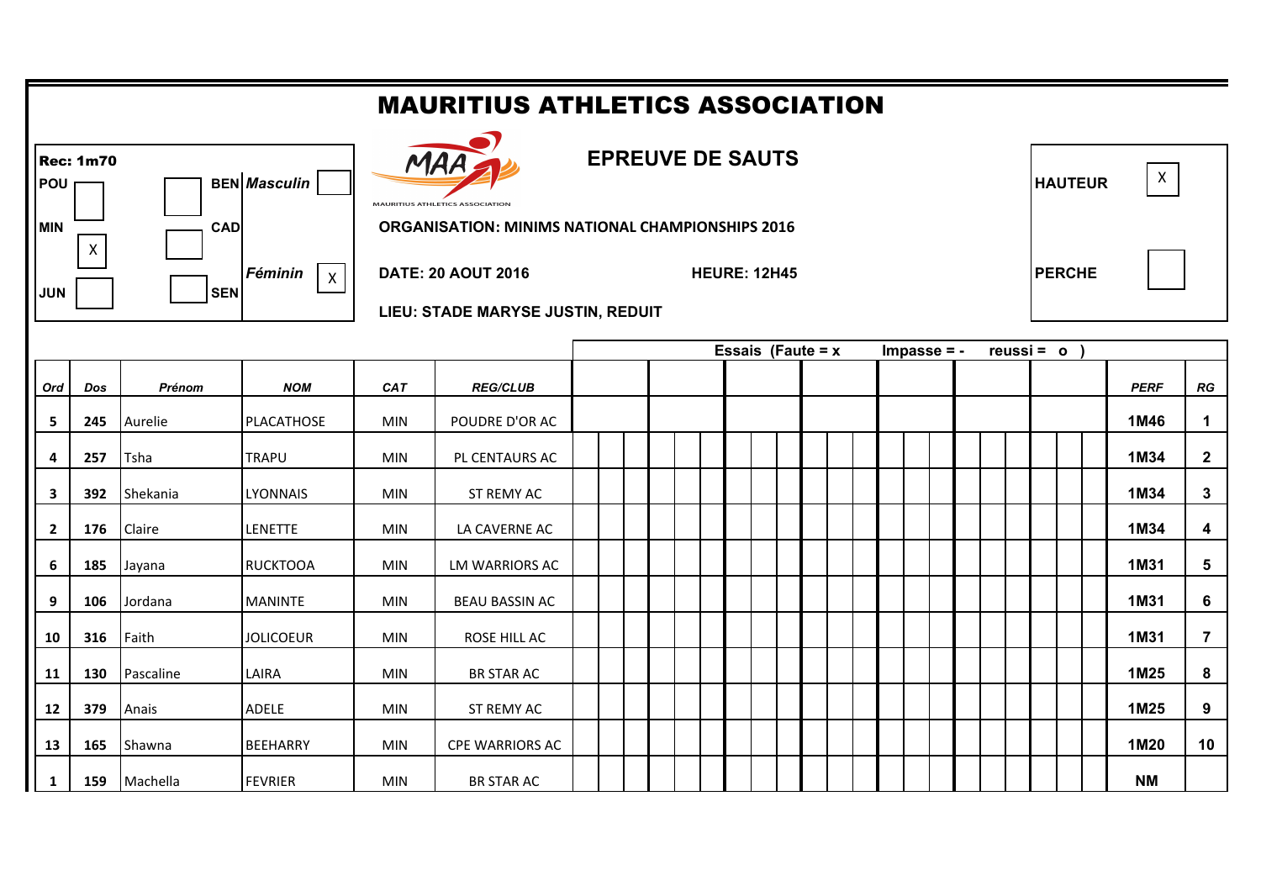|                                                                                                                                       | <b>MAURITIUS ATHLETICS ASSOCIATION</b> |           |                  |            |                                                                                                   |                |                     |               |  |  |              |  |             |                         |
|---------------------------------------------------------------------------------------------------------------------------------------|----------------------------------------|-----------|------------------|------------|---------------------------------------------------------------------------------------------------|----------------|---------------------|---------------|--|--|--------------|--|-------------|-------------------------|
| <b>Rec: 1m70</b><br><b>BEN</b> Masculin<br>POU<br><b>MIN</b><br><b>CAD</b>                                                            |                                        |           |                  |            | <b>MAURITIUS ATHLETICS ASSOCIATION</b><br><b>ORGANISATION: MINIMS NATIONAL CHAMPIONSHIPS 2016</b> | <b>HAUTEUR</b> | $\mathsf{X}$        |               |  |  |              |  |             |                         |
| $\mathsf{X}$<br>Féminin<br><b>DATE: 20 AOUT 2016</b><br>$\mathsf{X}$<br><b>JUN</b><br><b>SEN</b><br>LIEU: STADE MARYSE JUSTIN, REDUIT |                                        |           |                  |            |                                                                                                   |                | <b>HEURE: 12H45</b> | <b>PERCHE</b> |  |  |              |  |             |                         |
|                                                                                                                                       | Essais (Faute = $x$<br>$Impasse = -$   |           |                  |            |                                                                                                   |                |                     |               |  |  | $reussi = o$ |  |             |                         |
| Ord                                                                                                                                   | <b>Dos</b>                             | Prénom    | <b>NOM</b>       | CAT        | <b>REG/CLUB</b>                                                                                   |                |                     |               |  |  |              |  | <b>PERF</b> | RG                      |
| 5                                                                                                                                     | 245                                    | Aurelie   | PLACATHOSE       | <b>MIN</b> | POUDRE D'OR AC                                                                                    |                |                     |               |  |  |              |  | 1M46        | $\mathbf{1}$            |
| 4                                                                                                                                     | 257                                    | Tsha      | <b>TRAPU</b>     | <b>MIN</b> | PL CENTAURS AC                                                                                    |                |                     |               |  |  |              |  | 1M34        | $\mathbf{2}$            |
| 3                                                                                                                                     | 392                                    | Shekania  | <b>LYONNAIS</b>  | <b>MIN</b> | ST REMY AC                                                                                        |                |                     |               |  |  |              |  | 1M34        | $\mathbf{3}$            |
| $\overline{2}$                                                                                                                        | 176                                    | Claire    | LENETTE          | <b>MIN</b> | LA CAVERNE AC                                                                                     |                |                     |               |  |  |              |  | 1M34        | $\overline{\mathbf{4}}$ |
| 6                                                                                                                                     | 185                                    | Jayana    | <b>RUCKTOOA</b>  | MIN        | <b>LM WARRIORS AC</b>                                                                             |                |                     |               |  |  |              |  | 1M31        | 5                       |
| 9                                                                                                                                     | 106                                    | Jordana   | <b>MANINTE</b>   | MIN        | <b>BEAU BASSIN AC</b>                                                                             |                |                     |               |  |  |              |  | 1M31        | $6\phantom{1}$          |
| 10                                                                                                                                    | 316                                    | Faith     | <b>JOLICOEUR</b> | <b>MIN</b> | ROSE HILL AC                                                                                      |                |                     |               |  |  |              |  | 1M31        | $\overline{7}$          |
| 11                                                                                                                                    | 130                                    | Pascaline | LAIRA            | <b>MIN</b> | <b>BR STAR AC</b>                                                                                 |                |                     |               |  |  |              |  | 1M25        | 8                       |
| 12                                                                                                                                    | 379                                    | Anais     | <b>ADELE</b>     | <b>MIN</b> | ST REMY AC                                                                                        |                |                     |               |  |  |              |  | 1M25        | 9                       |
| 13                                                                                                                                    | 165                                    | Shawna    | <b>BEEHARRY</b>  | <b>MIN</b> | <b>CPE WARRIORS AC</b>                                                                            |                |                     |               |  |  |              |  | 1M20        | 10                      |
| 1                                                                                                                                     | 159                                    | Machella  | <b>FEVRIER</b>   | <b>MIN</b> | <b>BR STAR AC</b>                                                                                 |                |                     |               |  |  |              |  | <b>NM</b>   |                         |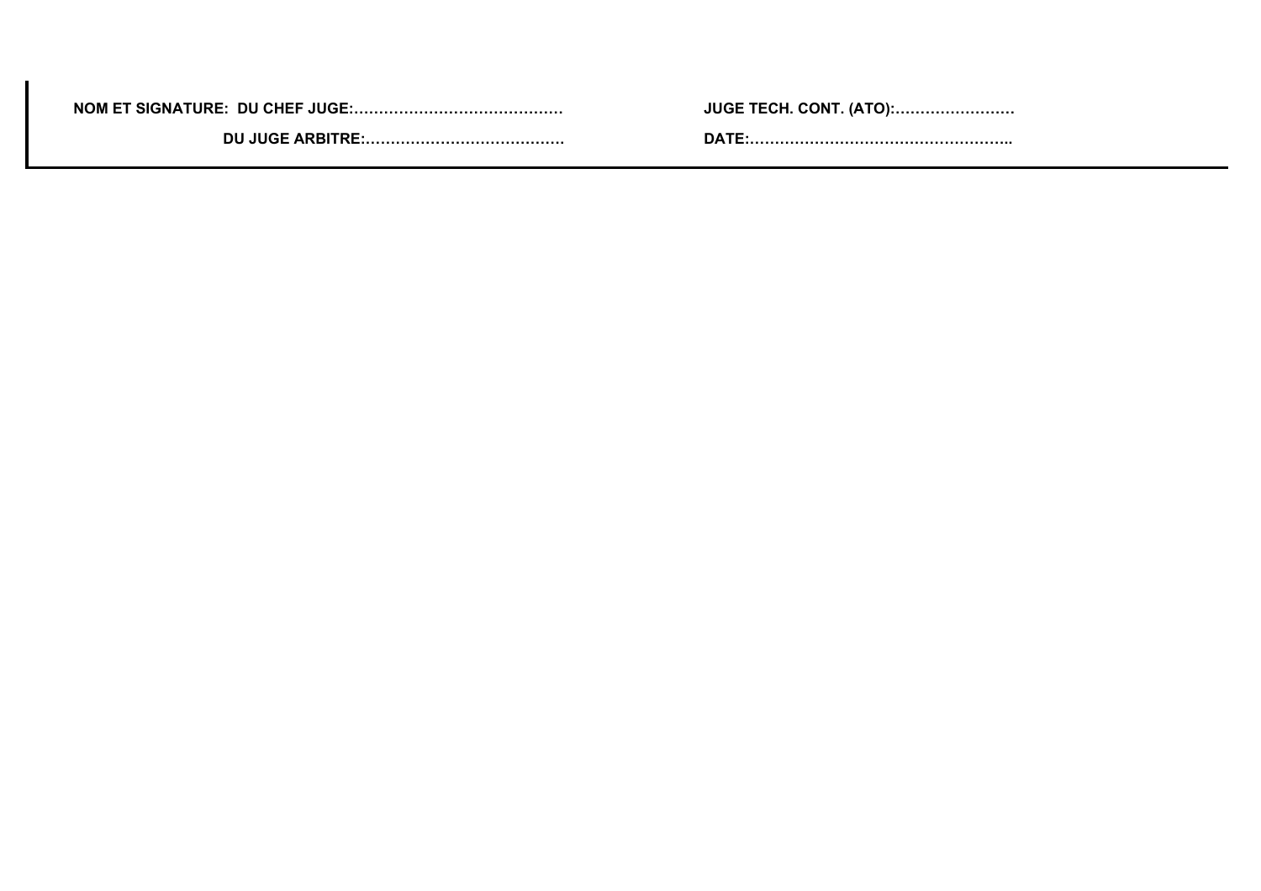**NOM ET SIGNATURE: DU CHEF JUGE:…………………………………… JUGE TECH. CONT. (ATO):……………………**

 **DU JUGE ARBITRE:…………………………………. DATE:……………………………………………..**